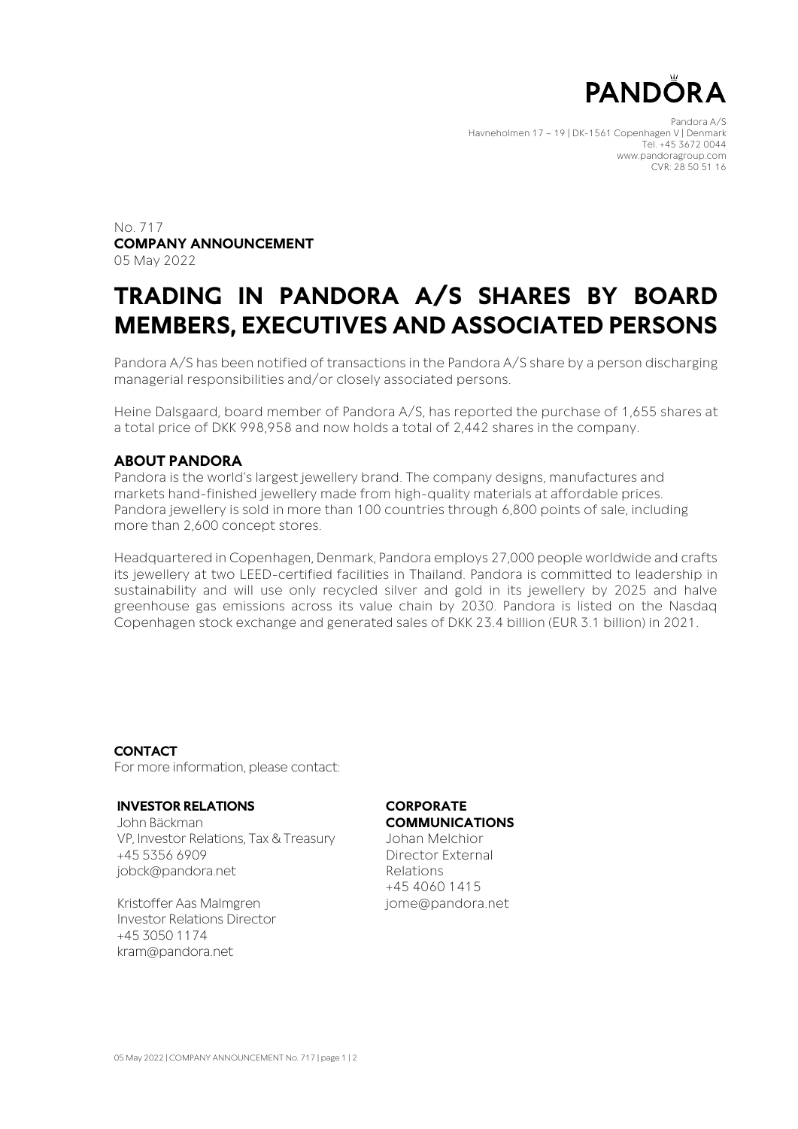

Pandora A/S Havneholmen 17 – 19 | DK-1561 Copenhagen V | Denmark Tel. +45 3672 0044 www.pandoragroup.com CVR: 28 50 51 16

No. 717 **COMPANY ANNOUNCEMENT** 05 May 2022

## **TRADING IN PANDORA A/S SHARES BY BOARD MEMBERS, EXECUTIVES AND ASSOCIATED PERSONS**

Pandora A/S has been notified of transactions in the Pandora A/S share by a person discharging managerial responsibilities and/or closely associated persons.

Heine Dalsgaard, board member of Pandora A/S, has reported the purchase of 1,655 shares at a total price of DKK 998,958 and now holds a total of 2,442 shares in the company.

#### **ABOUT PANDORA**

Pandora is the world's largest jewellery brand. The company designs, manufactures and markets hand-finished jewellery made from high-quality materials at affordable prices. Pandora jewellery is sold in more than 100 countries through 6,800 points of sale, including more than 2,600 concept stores.

Headquartered in Copenhagen, Denmark, Pandora employs 27,000 people worldwide and crafts its jewellery at two LEED-certified facilities in Thailand. Pandora is committed to leadership in sustainability and will use only recycled silver and gold in its jewellery by 2025 and halve greenhouse gas emissions across its value chain by 2030. Pandora is listed on the Nasdaq Copenhagen stock exchange and generated sales of DKK 23.4 billion (EUR 3.1 billion) in 2021.

**CONTACT** For more information, please contact:

#### **INVESTOR RELATIONS**

John Bäckman VP, Investor Relations, Tax & Treasury +45 5356 6909 jobck@pandora.net

Kristoffer Aas Malmgren Investor Relations Director +45 3050 1174 [kram@pandora.net](mailto:kram@pandora.net)

### **CORPORATE**

**COMMUNICATIONS**

Johan Melchior Director External Relations +45 4060 1415 jome@pandora.net